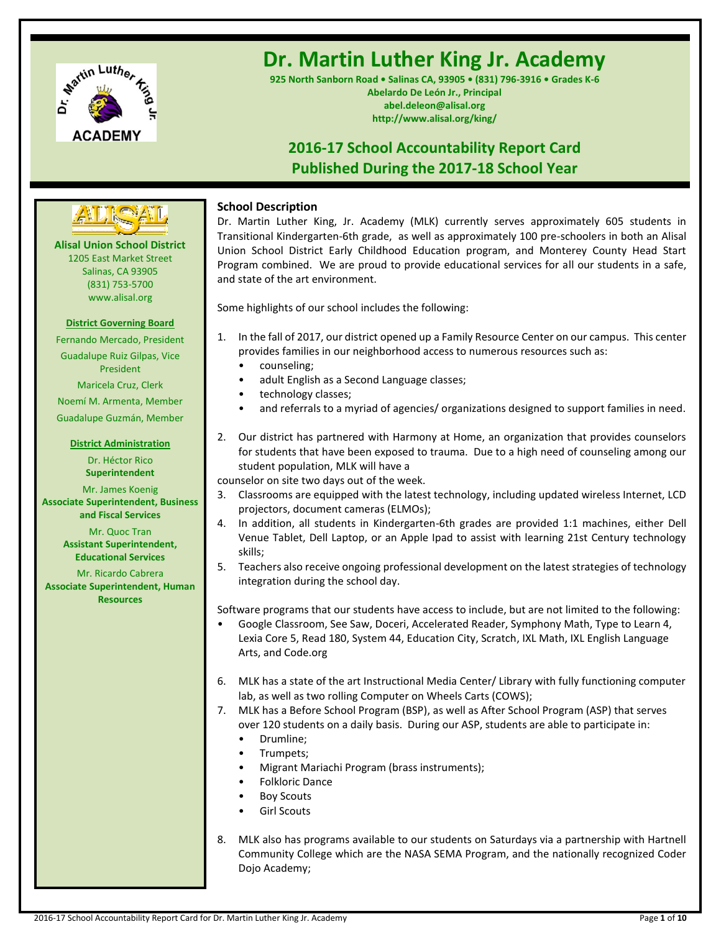

# **Dr. Martin Luther King Jr. Academy**

**925 North Sanborn Road • Salinas CA, 93905 • (831) 796-3916 • Grades K-6 Abelardo De León Jr., Principal abel.deleon@alisal.org http://www.alisal.org/king/**

# **2016-17 School Accountability Report Card Published During the 2017-18 School Year**



**Alisal Union School District** 1205 East Market Street Salinas, CA 93905 (831) 753-5700 www.alisal.org

# **District Governing Board**

Fernando Mercado, President Guadalupe Ruiz Gilpas, Vice President Maricela Cruz, Clerk Noemí M. Armenta, Member Guadalupe Guzmán, Member

# **District Administration**

Dr. Héctor Rico **Superintendent** Mr. James Koenig **Associate Superintendent, Business and Fiscal Services**

Mr. Quoc Tran **Assistant Superintendent, Educational Services**

Mr. Ricardo Cabrera **Associate Superintendent, Human Resources**

# **School Description**

Dr. Martin Luther King, Jr. Academy (MLK) currently serves approximately 605 students in Transitional Kindergarten-6th grade, as well as approximately 100 pre-schoolers in both an Alisal Union School District Early Childhood Education program, and Monterey County Head Start Program combined. We are proud to provide educational services for all our students in a safe, and state of the art environment.

Some highlights of our school includes the following:

- 1. In the fall of 2017, our district opened up a Family Resource Center on our campus. This center provides families in our neighborhood access to numerous resources such as:
	- counseling;
	- adult English as a Second Language classes;
	- technology classes;
	- and referrals to a myriad of agencies/ organizations designed to support families in need.
- 2. Our district has partnered with Harmony at Home, an organization that provides counselors for students that have been exposed to trauma. Due to a high need of counseling among our student population, MLK will have a

counselor on site two days out of the week.

- 3. Classrooms are equipped with the latest technology, including updated wireless Internet, LCD projectors, document cameras (ELMOs);
- 4. In addition, all students in Kindergarten-6th grades are provided 1:1 machines, either Dell Venue Tablet, Dell Laptop, or an Apple Ipad to assist with learning 21st Century technology skills;
- 5. Teachers also receive ongoing professional development on the latest strategies of technology integration during the school day.

Software programs that our students have access to include, but are not limited to the following:

- Google Classroom, See Saw, Doceri, Accelerated Reader, Symphony Math, Type to Learn 4, Lexia Core 5, Read 180, System 44, Education City, Scratch, IXL Math, IXL English Language Arts, and Code.org
- 6. MLK has a state of the art Instructional Media Center/ Library with fully functioning computer lab, as well as two rolling Computer on Wheels Carts (COWS);
- 7. MLK has a Before School Program (BSP), as well as After School Program (ASP) that serves over 120 students on a daily basis. During our ASP, students are able to participate in:
	- Drumline;
	- Trumpets;
	- Migrant Mariachi Program (brass instruments);
	- Folkloric Dance
	- **Boy Scouts**
	- **Girl Scouts**
- 8. MLK also has programs available to our students on Saturdays via a partnership with Hartnell Community College which are the NASA SEMA Program, and the nationally recognized Coder Dojo Academy;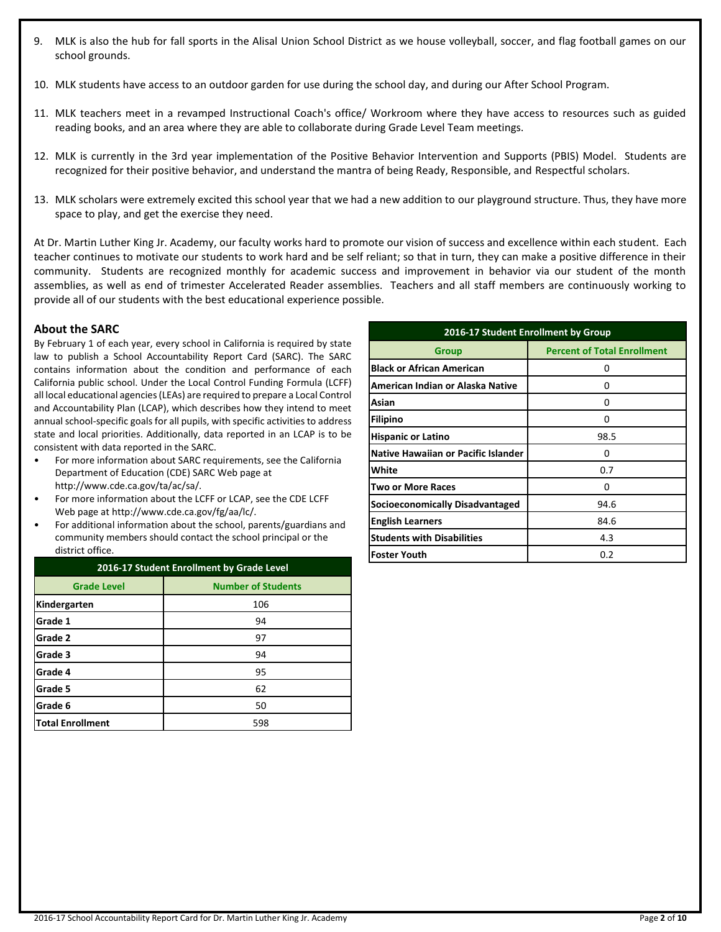- 9. MLK is also the hub for fall sports in the Alisal Union School District as we house volleyball, soccer, and flag football games on our school grounds.
- 10. MLK students have access to an outdoor garden for use during the school day, and during our After School Program.
- 11. MLK teachers meet in a revamped Instructional Coach's office/ Workroom where they have access to resources such as guided reading books, and an area where they are able to collaborate during Grade Level Team meetings.
- 12. MLK is currently in the 3rd year implementation of the Positive Behavior Intervention and Supports (PBIS) Model. Students are recognized for their positive behavior, and understand the mantra of being Ready, Responsible, and Respectful scholars.
- 13. MLK scholars were extremely excited this school year that we had a new addition to our playground structure. Thus, they have more space to play, and get the exercise they need.

At Dr. Martin Luther King Jr. Academy, our faculty works hard to promote our vision of success and excellence within each student. Each teacher continues to motivate our students to work hard and be self reliant; so that in turn, they can make a positive difference in their community. Students are recognized monthly for academic success and improvement in behavior via our student of the month assemblies, as well as end of trimester Accelerated Reader assemblies. Teachers and all staff members are continuously working to provide all of our students with the best educational experience possible.

# **About the SARC**

By February 1 of each year, every school in California is required by state law to publish a School Accountability Report Card (SARC). The SARC contains information about the condition and performance of each California public school. Under the Local Control Funding Formula (LCFF) all local educational agencies (LEAs) are required to prepare a Local Control and Accountability Plan (LCAP), which describes how they intend to meet annual school-specific goals for all pupils, with specific activities to address state and local priorities. Additionally, data reported in an LCAP is to be consistent with data reported in the SARC.

- For more information about SARC requirements, see the California Department of Education (CDE) SARC Web page at http://www.cde.ca.gov/ta/ac/sa/.
- For more information about the LCFF or LCAP, see the CDE LCFF Web page at http://www.cde.ca.gov/fg/aa/lc/.
- For additional information about the school, parents/guardians and community members should contact the school principal or the district office.

| 2016-17 Student Enrollment by Grade Level       |     |  |  |  |
|-------------------------------------------------|-----|--|--|--|
| <b>Number of Students</b><br><b>Grade Level</b> |     |  |  |  |
| Kindergarten                                    | 106 |  |  |  |
| Grade 1                                         | 94  |  |  |  |
| Grade 2                                         | 97  |  |  |  |
| Grade 3                                         | 94  |  |  |  |
| Grade 4                                         | 95  |  |  |  |
| Grade 5                                         | 62  |  |  |  |
| Grade 6                                         | 50  |  |  |  |
| <b>Total Enrollment</b>                         | 598 |  |  |  |

| 2016-17 Student Enrollment by Group        |                                    |  |  |  |  |
|--------------------------------------------|------------------------------------|--|--|--|--|
| <b>Group</b>                               | <b>Percent of Total Enrollment</b> |  |  |  |  |
| <b>Black or African American</b>           | ŋ                                  |  |  |  |  |
| American Indian or Alaska Native           | n                                  |  |  |  |  |
| Asian                                      | Ω                                  |  |  |  |  |
| <b>Filipino</b>                            | o                                  |  |  |  |  |
| <b>Hispanic or Latino</b>                  | 98.5                               |  |  |  |  |
| <b>Native Hawaiian or Pacific Islander</b> | n                                  |  |  |  |  |
| White                                      | 0.7                                |  |  |  |  |
| Two or More Races                          | n                                  |  |  |  |  |
| Socioeconomically Disadvantaged            | 94.6                               |  |  |  |  |
| <b>English Learners</b>                    | 84.6                               |  |  |  |  |
| <b>Students with Disabilities</b>          | 4.3                                |  |  |  |  |
| <b>Foster Youth</b>                        | 0.2                                |  |  |  |  |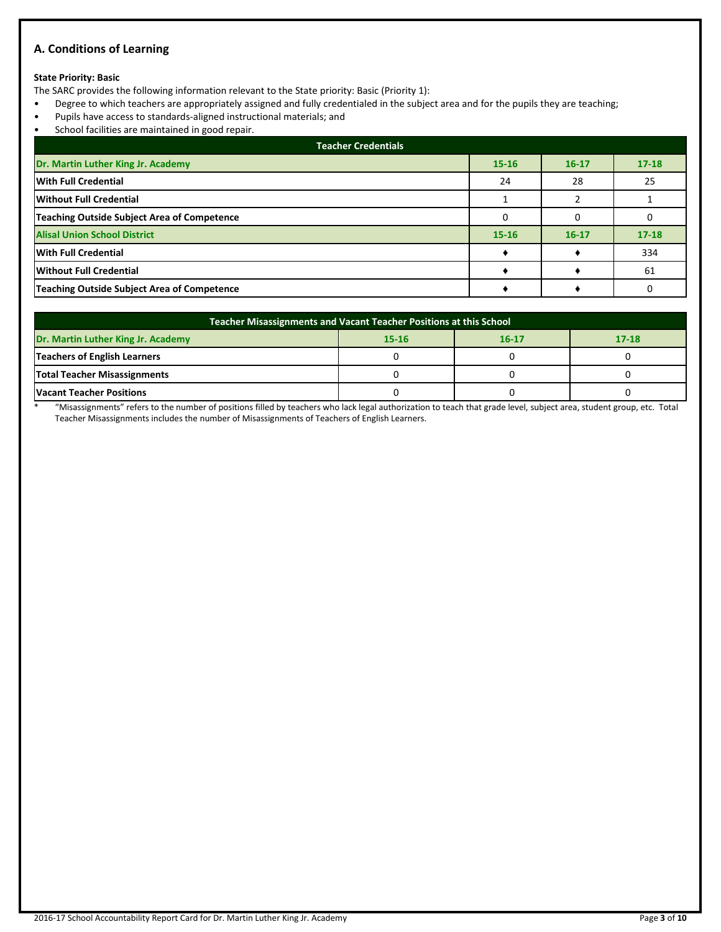# **A. Conditions of Learning**

# **State Priority: Basic**

The SARC provides the following information relevant to the State priority: Basic (Priority 1):

- Degree to which teachers are appropriately assigned and fully credentialed in the subject area and for the pupils they are teaching;
- Pupils have access to standards-aligned instructional materials; and
- School facilities are maintained in good repair.

| <b>Teacher Credentials</b>                         |           |           |           |  |  |  |
|----------------------------------------------------|-----------|-----------|-----------|--|--|--|
| Dr. Martin Luther King Jr. Academy                 | $15 - 16$ | $16 - 17$ | $17 - 18$ |  |  |  |
| With Full Credential                               | 24        | 28        | 25        |  |  |  |
| Without Full Credential                            |           |           |           |  |  |  |
| <b>Teaching Outside Subject Area of Competence</b> |           |           |           |  |  |  |
| <b>Alisal Union School District</b>                | $15 - 16$ | $16 - 17$ | $17 - 18$ |  |  |  |
| <b>With Full Credential</b>                        |           |           | 334       |  |  |  |
| <b>Without Full Credential</b>                     |           |           | 61        |  |  |  |
| Teaching Outside Subject Area of Competence        |           |           |           |  |  |  |

| Teacher Misassignments and Vacant Teacher Positions at this School        |  |  |  |  |  |  |  |
|---------------------------------------------------------------------------|--|--|--|--|--|--|--|
| Dr. Martin Luther King Jr. Academy<br>$17 - 18$<br>$15 - 16$<br>$16 - 17$ |  |  |  |  |  |  |  |
| <b>Teachers of English Learners</b>                                       |  |  |  |  |  |  |  |
| <b>Total Teacher Misassignments</b>                                       |  |  |  |  |  |  |  |
| <b>Vacant Teacher Positions</b>                                           |  |  |  |  |  |  |  |

\* "Misassignments" refers to the number of positions filled by teachers who lack legal authorization to teach that grade level, subject area, student group, etc. Total Teacher Misassignments includes the number of Misassignments of Teachers of English Learners.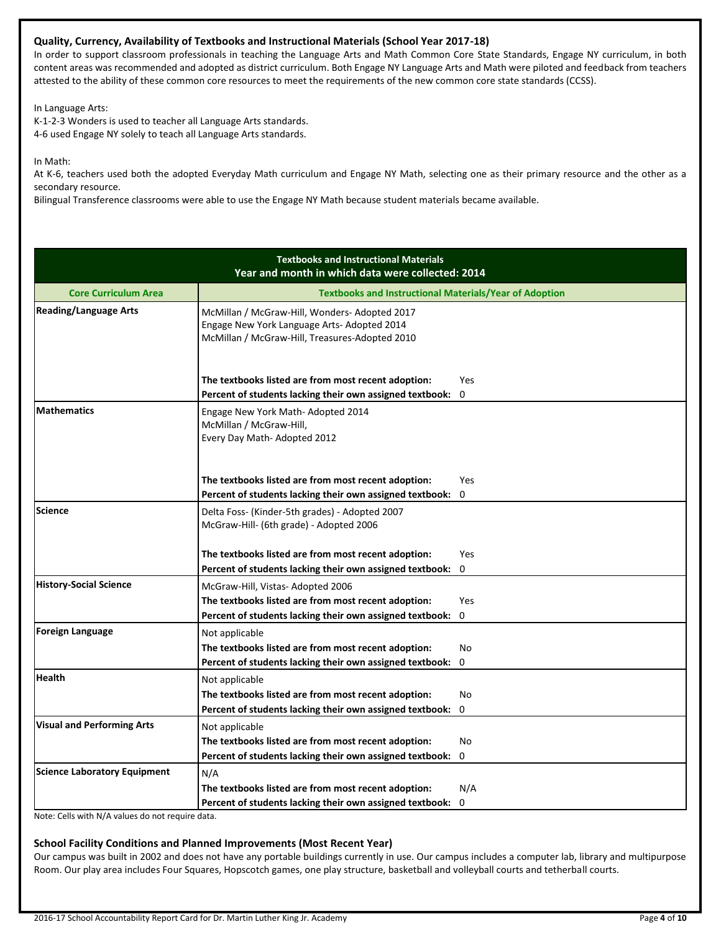# **Quality, Currency, Availability of Textbooks and Instructional Materials (School Year 2017-18)**

In order to support classroom professionals in teaching the Language Arts and Math Common Core State Standards, Engage NY curriculum, in both content areas was recommended and adopted as district curriculum. Both Engage NY Language Arts and Math were piloted and feedback from teachers attested to the ability of these common core resources to meet the requirements of the new common core state standards (CCSS).

In Language Arts:

K-1-2-3 Wonders is used to teacher all Language Arts standards. 4-6 used Engage NY solely to teach all Language Arts standards.

In Math:

At K-6, teachers used both the adopted Everyday Math curriculum and Engage NY Math, selecting one as their primary resource and the other as a secondary resource.

Bilingual Transference classrooms were able to use the Engage NY Math because student materials became available.

| <b>Textbooks and Instructional Materials</b><br>Year and month in which data were collected: 2014 |                                                                                                                                               |             |  |  |  |
|---------------------------------------------------------------------------------------------------|-----------------------------------------------------------------------------------------------------------------------------------------------|-------------|--|--|--|
| <b>Core Curriculum Area</b>                                                                       | <b>Textbooks and Instructional Materials/Year of Adoption</b>                                                                                 |             |  |  |  |
| <b>Reading/Language Arts</b>                                                                      | McMillan / McGraw-Hill, Wonders-Adopted 2017<br>Engage New York Language Arts- Adopted 2014<br>McMillan / McGraw-Hill, Treasures-Adopted 2010 |             |  |  |  |
|                                                                                                   | The textbooks listed are from most recent adoption:<br>Percent of students lacking their own assigned textbook:                               | Yes<br>0    |  |  |  |
| <b>Mathematics</b>                                                                                | Engage New York Math-Adopted 2014<br>McMillan / McGraw-Hill,<br>Every Day Math-Adopted 2012                                                   |             |  |  |  |
|                                                                                                   | The textbooks listed are from most recent adoption:                                                                                           | Yes         |  |  |  |
|                                                                                                   | Percent of students lacking their own assigned textbook:                                                                                      | 0           |  |  |  |
| Science                                                                                           | Delta Foss- (Kinder-5th grades) - Adopted 2007<br>McGraw-Hill- (6th grade) - Adopted 2006                                                     |             |  |  |  |
|                                                                                                   | The textbooks listed are from most recent adoption:                                                                                           | <b>Yes</b>  |  |  |  |
|                                                                                                   | Percent of students lacking their own assigned textbook:                                                                                      | $\mathbf 0$ |  |  |  |
| <b>History-Social Science</b>                                                                     | McGraw-Hill, Vistas- Adopted 2006                                                                                                             |             |  |  |  |
|                                                                                                   | The textbooks listed are from most recent adoption:                                                                                           | Yes         |  |  |  |
|                                                                                                   | Percent of students lacking their own assigned textbook:                                                                                      | 0           |  |  |  |
| <b>Foreign Language</b>                                                                           | Not applicable                                                                                                                                |             |  |  |  |
|                                                                                                   | The textbooks listed are from most recent adoption:                                                                                           | No          |  |  |  |
|                                                                                                   | Percent of students lacking their own assigned textbook:                                                                                      | 0           |  |  |  |
| <b>Health</b>                                                                                     | Not applicable                                                                                                                                |             |  |  |  |
|                                                                                                   | The textbooks listed are from most recent adoption:                                                                                           | No          |  |  |  |
|                                                                                                   | Percent of students lacking their own assigned textbook:                                                                                      | 0           |  |  |  |
| <b>Visual and Performing Arts</b>                                                                 | Not applicable                                                                                                                                |             |  |  |  |
|                                                                                                   | The textbooks listed are from most recent adoption:                                                                                           | No          |  |  |  |
|                                                                                                   | Percent of students lacking their own assigned textbook:                                                                                      | 0           |  |  |  |
| <b>Science Laboratory Equipment</b>                                                               | N/A                                                                                                                                           |             |  |  |  |
|                                                                                                   | The textbooks listed are from most recent adoption:                                                                                           | N/A         |  |  |  |
|                                                                                                   | Percent of students lacking their own assigned textbook:                                                                                      | 0           |  |  |  |

Note: Cells with N/A values do not require data.

# **School Facility Conditions and Planned Improvements (Most Recent Year)**

Our campus was built in 2002 and does not have any portable buildings currently in use. Our campus includes a computer lab, library and multipurpose Room. Our play area includes Four Squares, Hopscotch games, one play structure, basketball and volleyball courts and tetherball courts.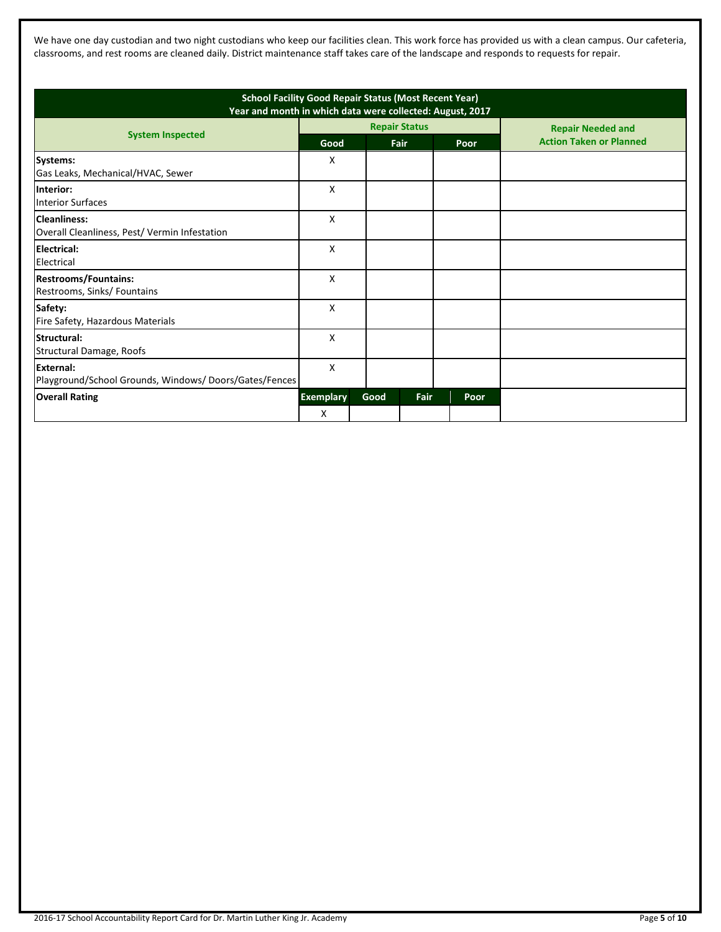We have one day custodian and two night custodians who keep our facilities clean. This work force has provided us with a clean campus. Our cafeteria, classrooms, and rest rooms are cleaned daily. District maintenance staff takes care of the landscape and responds to requests for repair.

| <b>School Facility Good Repair Status (Most Recent Year)</b><br>Year and month in which data were collected: August, 2017 |                       |      |                              |      |                                                            |
|---------------------------------------------------------------------------------------------------------------------------|-----------------------|------|------------------------------|------|------------------------------------------------------------|
| <b>System Inspected</b>                                                                                                   | Good                  |      | <b>Repair Status</b><br>Fair | Poor | <b>Repair Needed and</b><br><b>Action Taken or Planned</b> |
| Systems:<br>Gas Leaks, Mechanical/HVAC, Sewer                                                                             | X                     |      |                              |      |                                                            |
| <b>Interior:</b><br><b>Interior Surfaces</b>                                                                              | X                     |      |                              |      |                                                            |
| Cleanliness:<br>Overall Cleanliness, Pest/ Vermin Infestation                                                             | X                     |      |                              |      |                                                            |
| Electrical:<br>Electrical                                                                                                 | X                     |      |                              |      |                                                            |
| <b>Restrooms/Fountains:</b><br>Restrooms, Sinks/ Fountains                                                                | X                     |      |                              |      |                                                            |
| Safety:<br>Fire Safety, Hazardous Materials                                                                               | X                     |      |                              |      |                                                            |
| Structural:<br>Structural Damage, Roofs                                                                                   | X                     |      |                              |      |                                                            |
| External:<br>Playground/School Grounds, Windows/Doors/Gates/Fences                                                        | X                     |      |                              |      |                                                            |
| <b>Overall Rating</b>                                                                                                     | <b>Exemplary</b><br>x | Good | Fair                         | Poor |                                                            |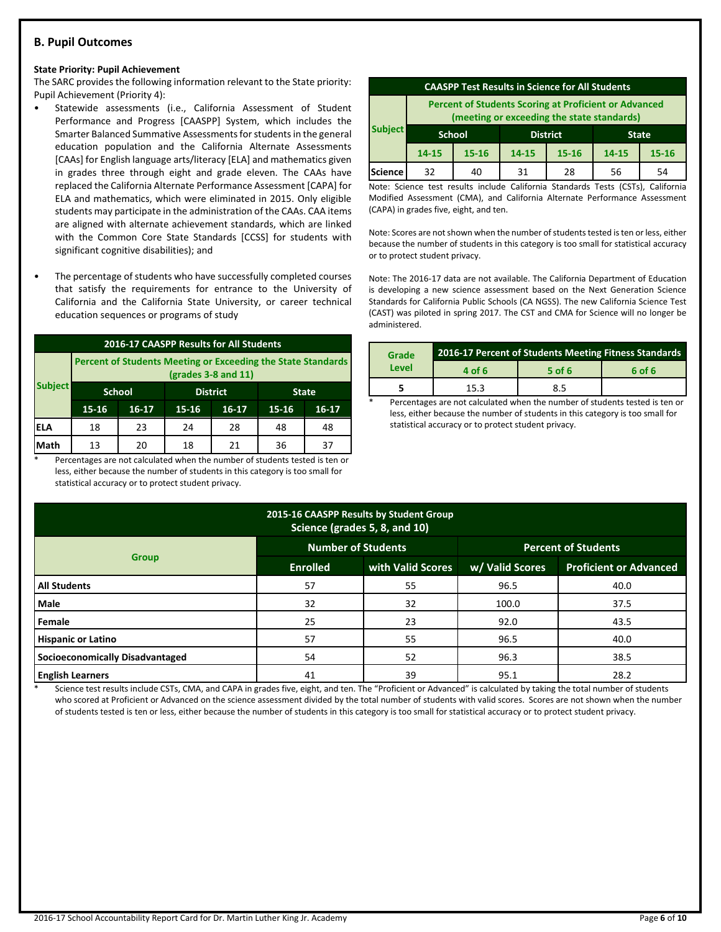# **B. Pupil Outcomes**

#### **State Priority: Pupil Achievement**

The SARC provides the following information relevant to the State priority: Pupil Achievement (Priority 4):

- Statewide assessments (i.e., California Assessment of Student Performance and Progress [CAASPP] System, which includes the Smarter Balanced Summative Assessments for students in the general education population and the California Alternate Assessments [CAAs] for English language arts/literacy [ELA] and mathematics given in grades three through eight and grade eleven. The CAAs have replaced the California Alternate Performance Assessment [CAPA] for ELA and mathematics, which were eliminated in 2015. Only eligible students may participate in the administration of the CAAs. CAA items are aligned with alternate achievement standards, which are linked with the Common Core State Standards [CCSS] for students with significant cognitive disabilities); and
- The percentage of students who have successfully completed courses that satisfy the requirements for entrance to the University of California and the California State University, or career technical education sequences or programs of study

| 2016-17 CAASPP Results for All Students |                                                                                              |    |    |    |    |    |  |
|-----------------------------------------|----------------------------------------------------------------------------------------------|----|----|----|----|----|--|
|                                         | <b>Percent of Students Meeting or Exceeding the State Standards</b><br>$(grades 3-8 and 11)$ |    |    |    |    |    |  |
| <b>Subject</b>                          | <b>School</b><br><b>District</b><br><b>State</b>                                             |    |    |    |    |    |  |
|                                         | 15-16<br>$15 - 16$<br>$16-17$<br>$16-17$<br>$15 - 16$<br>$16 - 17$                           |    |    |    |    |    |  |
| ELA                                     | 18                                                                                           | 23 | 24 | 28 | 48 | 48 |  |
| Math                                    | 13                                                                                           | 20 | 18 | 21 | 36 | 37 |  |

Percentages are not calculated when the number of students tested is ten or less, either because the number of students in this category is too small for statistical accuracy or to protect student privacy.

| <b>CAASPP Test Results in Science for All Students</b>                                                     |                                                  |           |                             |    |    |           |
|------------------------------------------------------------------------------------------------------------|--------------------------------------------------|-----------|-----------------------------|----|----|-----------|
| <b>Percent of Students Scoring at Proficient or Advanced</b><br>(meeting or exceeding the state standards) |                                                  |           |                             |    |    |           |
| <b>Subject</b>                                                                                             | <b>District</b><br><b>School</b><br><b>State</b> |           |                             |    |    |           |
|                                                                                                            | $14 - 15$                                        | $15 - 16$ | 14-15<br>$15 - 16$<br>14-15 |    |    | $15 - 16$ |
| Science                                                                                                    | 32                                               | 40        | 31                          | 28 | 56 | 54        |

Note: Science test results include California Standards Tests (CSTs), California Modified Assessment (CMA), and California Alternate Performance Assessment (CAPA) in grades five, eight, and ten.

Note: Scores are not shown when the number of students tested is ten or less, either because the number of students in this category is too small for statistical accuracy or to protect student privacy.

Note: The 2016-17 data are not available. The California Department of Education is developing a new science assessment based on the Next Generation Science Standards for California Public Schools (CA NGSS). The new California Science Test (CAST) was piloted in spring 2017. The CST and CMA for Science will no longer be administered.

| Grade | <b>2016-17 Percent of Students Meeting Fitness Standards</b> |          |        |  |  |
|-------|--------------------------------------------------------------|----------|--------|--|--|
| Level | 4 of 6                                                       | $5$ of 6 | 6 of 6 |  |  |
|       | 15.3                                                         | 8.5      |        |  |  |

Percentages are not calculated when the number of students tested is ten or less, either because the number of students in this category is too small for statistical accuracy or to protect student privacy.

| 2015-16 CAASPP Results by Student Group<br>Science (grades 5, 8, and 10) |                           |                   |                            |                               |  |  |  |
|--------------------------------------------------------------------------|---------------------------|-------------------|----------------------------|-------------------------------|--|--|--|
|                                                                          | <b>Number of Students</b> |                   | <b>Percent of Students</b> |                               |  |  |  |
| <b>Group</b>                                                             | <b>Enrolled</b>           | with Valid Scores | w/ Valid Scores            | <b>Proficient or Advanced</b> |  |  |  |
| <b>All Students</b>                                                      | 57                        | 55                | 96.5                       | 40.0                          |  |  |  |
| Male                                                                     | 32                        | 32                | 100.0                      | 37.5                          |  |  |  |
| Female                                                                   | 25                        | 23                | 92.0                       | 43.5                          |  |  |  |
| <b>Hispanic or Latino</b>                                                | 57                        | 55                | 96.5                       | 40.0                          |  |  |  |
| <b>Socioeconomically Disadvantaged</b>                                   | 54                        | 52                | 96.3                       | 38.5                          |  |  |  |
| <b>English Learners</b>                                                  | 41                        | 39                | 95.1                       | 28.2                          |  |  |  |

Science test results include CSTs, CMA, and CAPA in grades five, eight, and ten. The "Proficient or Advanced" is calculated by taking the total number of students who scored at Proficient or Advanced on the science assessment divided by the total number of students with valid scores. Scores are not shown when the number of students tested is ten or less, either because the number of students in this category is too small for statistical accuracy or to protect student privacy.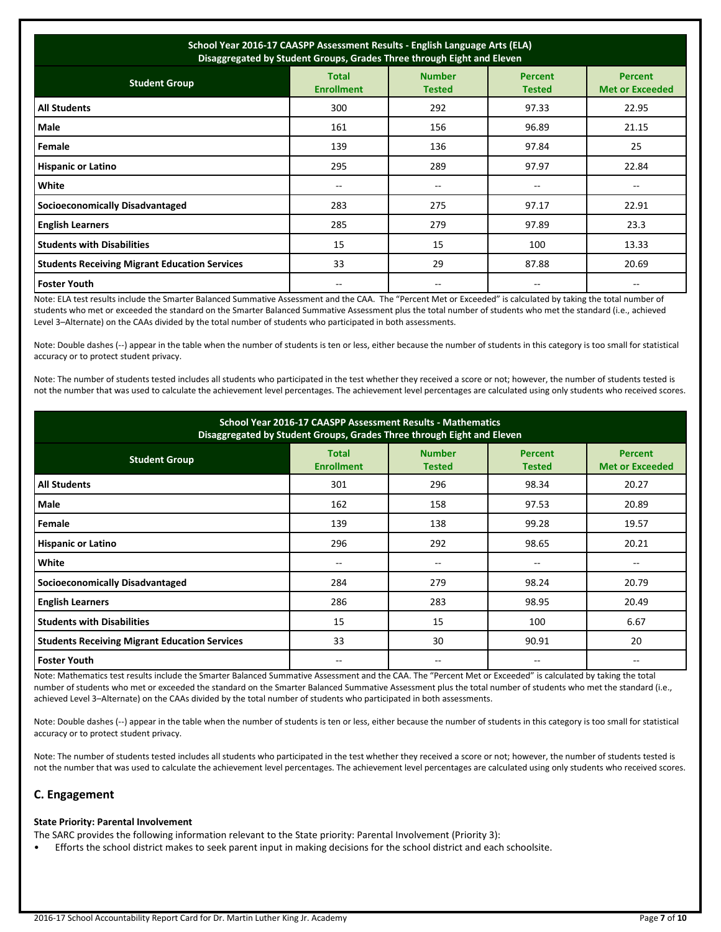| School Year 2016-17 CAASPP Assessment Results - English Language Arts (ELA)<br>Disaggregated by Student Groups, Grades Three through Eight and Eleven |                                   |                                |                                 |                                          |  |  |
|-------------------------------------------------------------------------------------------------------------------------------------------------------|-----------------------------------|--------------------------------|---------------------------------|------------------------------------------|--|--|
| <b>Student Group</b>                                                                                                                                  | <b>Total</b><br><b>Enrollment</b> | <b>Number</b><br><b>Tested</b> | <b>Percent</b><br><b>Tested</b> | <b>Percent</b><br><b>Met or Exceeded</b> |  |  |
| <b>All Students</b>                                                                                                                                   | 300                               | 292                            | 97.33                           | 22.95                                    |  |  |
| Male                                                                                                                                                  | 161                               | 156                            | 96.89                           | 21.15                                    |  |  |
| Female                                                                                                                                                | 139                               | 136                            | 97.84                           | 25                                       |  |  |
| <b>Hispanic or Latino</b>                                                                                                                             | 295                               | 289                            | 97.97                           | 22.84                                    |  |  |
| White                                                                                                                                                 | $- -$                             | --                             | --                              | $-$                                      |  |  |
| <b>Socioeconomically Disadvantaged</b>                                                                                                                | 283                               | 275                            | 97.17                           | 22.91                                    |  |  |
| <b>English Learners</b>                                                                                                                               | 285                               | 279                            | 97.89                           | 23.3                                     |  |  |
| <b>Students with Disabilities</b>                                                                                                                     | 15                                | 15                             | 100                             | 13.33                                    |  |  |
| <b>Students Receiving Migrant Education Services</b>                                                                                                  | 33                                | 29                             | 87.88                           | 20.69                                    |  |  |
| <b>Foster Youth</b>                                                                                                                                   |                                   |                                |                                 |                                          |  |  |

Note: ELA test results include the Smarter Balanced Summative Assessment and the CAA. The "Percent Met or Exceeded" is calculated by taking the total number of students who met or exceeded the standard on the Smarter Balanced Summative Assessment plus the total number of students who met the standard (i.e., achieved Level 3–Alternate) on the CAAs divided by the total number of students who participated in both assessments.

Note: Double dashes (--) appear in the table when the number of students is ten or less, either because the number of students in this category is too small for statistical accuracy or to protect student privacy.

Note: The number of students tested includes all students who participated in the test whether they received a score or not; however, the number of students tested is not the number that was used to calculate the achievement level percentages. The achievement level percentages are calculated using only students who received scores.

| School Year 2016-17 CAASPP Assessment Results - Mathematics<br>Disaggregated by Student Groups, Grades Three through Eight and Eleven |                                   |                                |                                 |                                          |  |  |
|---------------------------------------------------------------------------------------------------------------------------------------|-----------------------------------|--------------------------------|---------------------------------|------------------------------------------|--|--|
| <b>Student Group</b>                                                                                                                  | <b>Total</b><br><b>Enrollment</b> | <b>Number</b><br><b>Tested</b> | <b>Percent</b><br><b>Tested</b> | <b>Percent</b><br><b>Met or Exceeded</b> |  |  |
| <b>All Students</b>                                                                                                                   | 301                               | 296                            | 98.34                           | 20.27                                    |  |  |
| Male                                                                                                                                  | 162                               | 158                            | 97.53                           | 20.89                                    |  |  |
| Female                                                                                                                                | 139                               | 138                            | 99.28                           | 19.57                                    |  |  |
| <b>Hispanic or Latino</b>                                                                                                             | 296                               | 292                            | 98.65                           | 20.21                                    |  |  |
| White                                                                                                                                 |                                   | --                             | --                              |                                          |  |  |
| <b>Socioeconomically Disadvantaged</b>                                                                                                | 284                               | 279                            | 98.24                           | 20.79                                    |  |  |
| <b>English Learners</b>                                                                                                               | 286                               | 283                            | 98.95                           | 20.49                                    |  |  |
| <b>Students with Disabilities</b>                                                                                                     | 15                                | 15                             | 100                             | 6.67                                     |  |  |
| <b>Students Receiving Migrant Education Services</b>                                                                                  | 33                                | 30                             | 90.91                           | 20                                       |  |  |
| <b>Foster Youth</b>                                                                                                                   |                                   | $- -$                          | --                              |                                          |  |  |

Note: Mathematics test results include the Smarter Balanced Summative Assessment and the CAA. The "Percent Met or Exceeded" is calculated by taking the total number of students who met or exceeded the standard on the Smarter Balanced Summative Assessment plus the total number of students who met the standard (i.e., achieved Level 3–Alternate) on the CAAs divided by the total number of students who participated in both assessments.

Note: Double dashes (--) appear in the table when the number of students is ten or less, either because the number of students in this category is too small for statistical accuracy or to protect student privacy.

Note: The number of students tested includes all students who participated in the test whether they received a score or not; however, the number of students tested is not the number that was used to calculate the achievement level percentages. The achievement level percentages are calculated using only students who received scores.

# **C. Engagement**

# **State Priority: Parental Involvement**

The SARC provides the following information relevant to the State priority: Parental Involvement (Priority 3):

• Efforts the school district makes to seek parent input in making decisions for the school district and each schoolsite.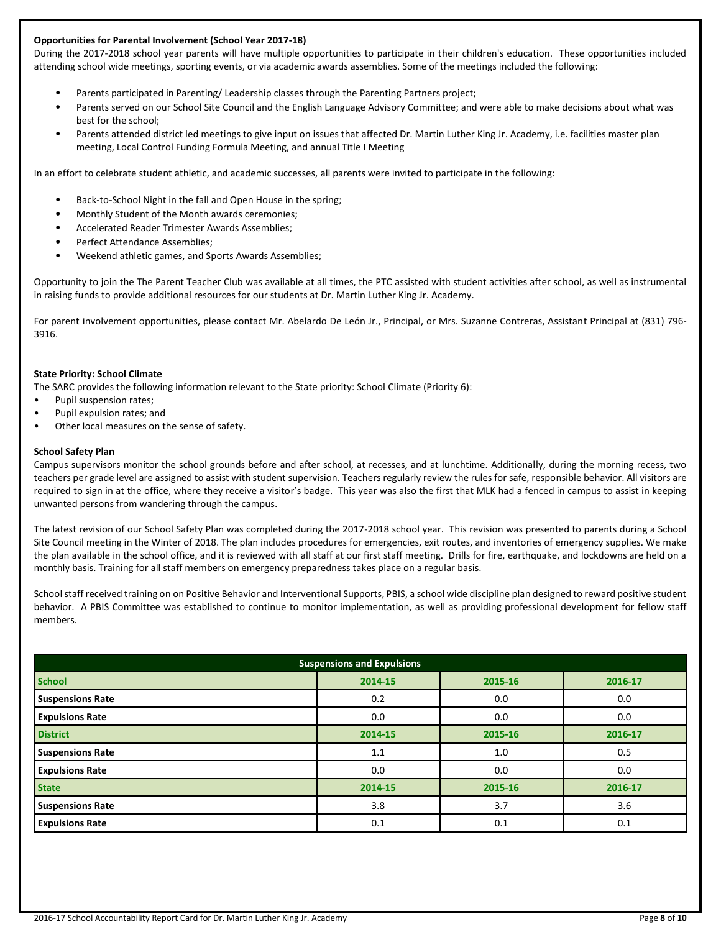# **Opportunities for Parental Involvement (School Year 2017-18)**

During the 2017-2018 school year parents will have multiple opportunities to participate in their children's education. These opportunities included attending school wide meetings, sporting events, or via academic awards assemblies. Some of the meetings included the following:

- Parents participated in Parenting/ Leadership classes through the Parenting Partners project;
- Parents served on our School Site Council and the English Language Advisory Committee; and were able to make decisions about what was best for the school;
- Parents attended district led meetings to give input on issues that affected Dr. Martin Luther King Jr. Academy, i.e. facilities master plan meeting, Local Control Funding Formula Meeting, and annual Title I Meeting

In an effort to celebrate student athletic, and academic successes, all parents were invited to participate in the following:

- Back-to-School Night in the fall and Open House in the spring;
- Monthly Student of the Month awards ceremonies;
- Accelerated Reader Trimester Awards Assemblies;
- Perfect Attendance Assemblies;
- Weekend athletic games, and Sports Awards Assemblies;

Opportunity to join the The Parent Teacher Club was available at all times, the PTC assisted with student activities after school, as well as instrumental in raising funds to provide additional resources for our students at Dr. Martin Luther King Jr. Academy.

For parent involvement opportunities, please contact Mr. Abelardo De León Jr., Principal, or Mrs. Suzanne Contreras, Assistant Principal at (831) 796- 3916.

# **State Priority: School Climate**

The SARC provides the following information relevant to the State priority: School Climate (Priority 6):

- Pupil suspension rates;
- Pupil expulsion rates; and
- Other local measures on the sense of safety.

#### **School Safety Plan**

Campus supervisors monitor the school grounds before and after school, at recesses, and at lunchtime. Additionally, during the morning recess, two teachers per grade level are assigned to assist with student supervision. Teachers regularly review the rules for safe, responsible behavior. All visitors are required to sign in at the office, where they receive a visitor's badge. This year was also the first that MLK had a fenced in campus to assist in keeping unwanted persons from wandering through the campus.

The latest revision of our School Safety Plan was completed during the 2017-2018 school year. This revision was presented to parents during a School Site Council meeting in the Winter of 2018. The plan includes procedures for emergencies, exit routes, and inventories of emergency supplies. We make the plan available in the school office, and it is reviewed with all staff at our first staff meeting. Drills for fire, earthquake, and lockdowns are held on a monthly basis. Training for all staff members on emergency preparedness takes place on a regular basis.

School staff received training on on Positive Behavior and Interventional Supports, PBIS, a school wide discipline plan designed to reward positive student behavior. A PBIS Committee was established to continue to monitor implementation, as well as providing professional development for fellow staff members.

| <b>Suspensions and Expulsions</b> |         |         |         |  |  |  |
|-----------------------------------|---------|---------|---------|--|--|--|
| <b>School</b>                     | 2014-15 | 2015-16 | 2016-17 |  |  |  |
| <b>Suspensions Rate</b>           | 0.2     | 0.0     | 0.0     |  |  |  |
| <b>Expulsions Rate</b>            | 0.0     | 0.0     | 0.0     |  |  |  |
| <b>District</b>                   | 2014-15 | 2015-16 | 2016-17 |  |  |  |
| <b>Suspensions Rate</b>           | 1.1     | 1.0     | 0.5     |  |  |  |
| <b>Expulsions Rate</b>            | 0.0     | 0.0     | 0.0     |  |  |  |
| <b>State</b>                      | 2014-15 | 2015-16 | 2016-17 |  |  |  |
| <b>Suspensions Rate</b>           | 3.8     | 3.7     | 3.6     |  |  |  |
| <b>Expulsions Rate</b>            | 0.1     | 0.1     | 0.1     |  |  |  |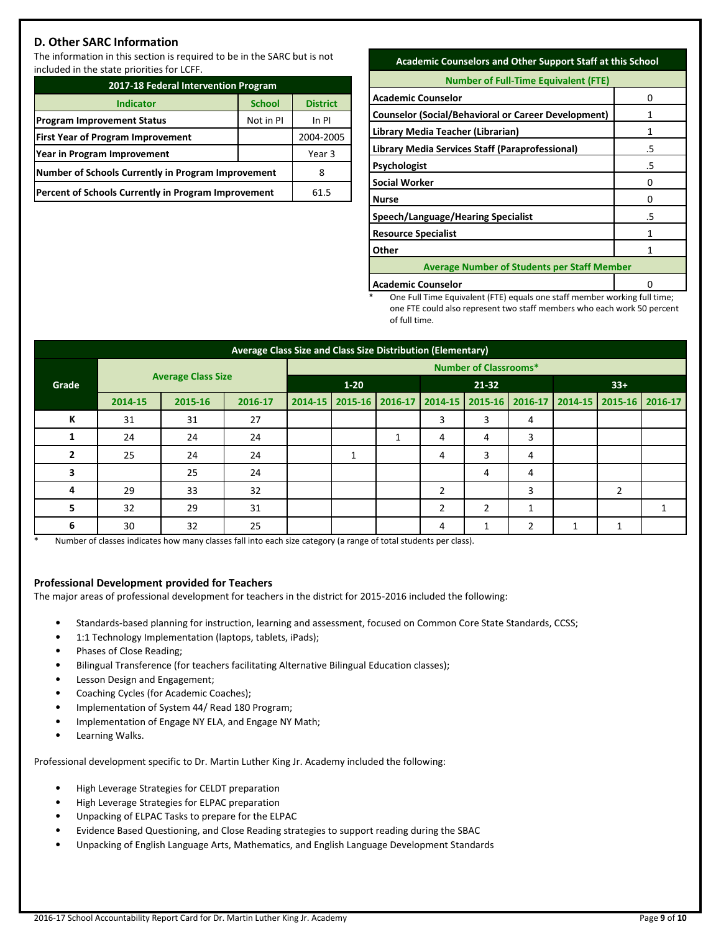# **D. Other SARC Information**

The information in this section is required to be in the SARC but is not included in the state priorities for LCFF.

| 2017-18 Federal Intervention Program                       |                 |  |  |  |
|------------------------------------------------------------|-----------------|--|--|--|
| <b>Indicator</b>                                           | <b>District</b> |  |  |  |
| <b>Program Improvement Status</b>                          | In PI           |  |  |  |
| <b>First Year of Program Improvement</b>                   | 2004-2005       |  |  |  |
| Year in Program Improvement                                | Year 3          |  |  |  |
| Number of Schools Currently in Program Improvement         | 8               |  |  |  |
| <b>Percent of Schools Currently in Program Improvement</b> | 61.5            |  |  |  |

# **Academic Counselors and Other Support Staff at this School**

| <b>Number of Full-Time Equivalent (FTE)</b>                |    |  |  |
|------------------------------------------------------------|----|--|--|
| <b>Academic Counselor</b>                                  | O  |  |  |
| <b>Counselor (Social/Behavioral or Career Development)</b> |    |  |  |
| Library Media Teacher (Librarian)                          |    |  |  |
| Library Media Services Staff (Paraprofessional)            | .5 |  |  |
| <b>Psychologist</b>                                        | .5 |  |  |
| <b>Social Worker</b>                                       | 0  |  |  |
| <b>Nurse</b>                                               | 0  |  |  |
| Speech/Language/Hearing Specialist                         | .5 |  |  |
| <b>Resource Specialist</b>                                 | 1  |  |  |
| Other                                                      |    |  |  |
| <b>Average Number of Students per Staff Member</b>         |    |  |  |
|                                                            |    |  |  |

**Academic Counselor 1** 0

One Full Time Equivalent (FTE) equals one staff member working full time; one FTE could also represent two staff members who each work 50 percent of full time.

| Average Class Size and Class Size Distribution (Elementary) |         |                           |                              |  |          |                          |                                                                         |                |       |  |   |  |
|-------------------------------------------------------------|---------|---------------------------|------------------------------|--|----------|--------------------------|-------------------------------------------------------------------------|----------------|-------|--|---|--|
|                                                             |         |                           | <b>Number of Classrooms*</b> |  |          |                          |                                                                         |                |       |  |   |  |
| Grade                                                       |         | <b>Average Class Size</b> |                              |  | $1 - 20$ |                          | 21-32                                                                   |                | $33+$ |  |   |  |
|                                                             | 2014-15 | 2015-16                   | 2016-17                      |  |          |                          | 2014-15 2015-16 2016-17 2014-15 2015-16 2016-17 2014-15 2015-16 2016-17 |                |       |  |   |  |
| К                                                           | 31      | 31                        | 27                           |  |          |                          | 3                                                                       | 3              | 4     |  |   |  |
|                                                             | 24      | 24                        | 24                           |  |          | $\overline{\phantom{a}}$ | 4                                                                       | 4              | 3     |  |   |  |
| 2                                                           | 25      | 24                        | 24                           |  | 1        |                          | 4                                                                       | 3              | 4     |  |   |  |
| 3                                                           |         | 25                        | 24                           |  |          |                          |                                                                         | 4              | 4     |  |   |  |
| 4                                                           | 29      | 33                        | 32                           |  |          |                          | $\overline{2}$                                                          |                | 3     |  | 2 |  |
| 5                                                           | 32      | 29                        | 31                           |  |          |                          | $\overline{2}$                                                          | $\overline{2}$ | 1     |  |   |  |
| 6                                                           | 30      | 32                        | 25                           |  |          |                          | 4                                                                       |                | ำ     |  |   |  |

Number of classes indicates how many classes fall into each size category (a range of total students per class).

# **Professional Development provided for Teachers**

The major areas of professional development for teachers in the district for 2015-2016 included the following:

- Standards-based planning for instruction, learning and assessment, focused on Common Core State Standards, CCSS;
- 1:1 Technology Implementation (laptops, tablets, iPads);
- Phases of Close Reading;
- Bilingual Transference (for teachers facilitating Alternative Bilingual Education classes);
- Lesson Design and Engagement;
- Coaching Cycles (for Academic Coaches);
- Implementation of System 44/ Read 180 Program;
- Implementation of Engage NY ELA, and Engage NY Math;
- Learning Walks.

Professional development specific to Dr. Martin Luther King Jr. Academy included the following:

- High Leverage Strategies for CELDT preparation
- High Leverage Strategies for ELPAC preparation
- Unpacking of ELPAC Tasks to prepare for the ELPAC
- Evidence Based Questioning, and Close Reading strategies to support reading during the SBAC
- Unpacking of English Language Arts, Mathematics, and English Language Development Standards